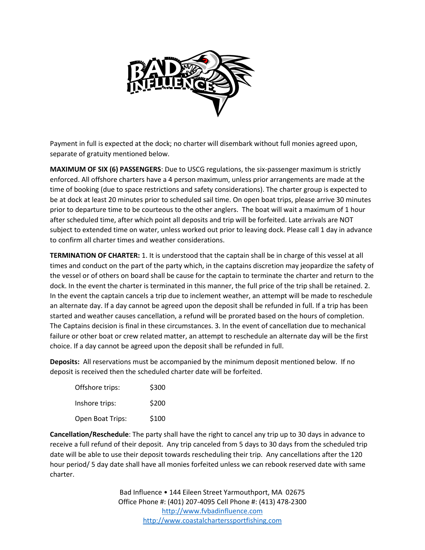

Payment in full is expected at the dock; no charter will disembark without full monies agreed upon, separate of gratuity mentioned below.

**MAXIMUM OF SIX (6) PASSENGERS**: Due to USCG regulations, the six-passenger maximum is strictly enforced. All offshore charters have a 4 person maximum, unless prior arrangements are made at the time of booking (due to space restrictions and safety considerations). The charter group is expected to be at dock at least 20 minutes prior to scheduled sail time. On open boat trips, please arrive 30 minutes prior to departure time to be courteous to the other anglers. The boat will wait a maximum of 1 hour after scheduled time, after which point all deposits and trip will be forfeited. Late arrivals are NOT subject to extended time on water, unless worked out prior to leaving dock. Please call 1 day in advance to confirm all charter times and weather considerations.

**TERMINATION OF CHARTER:** 1. It is understood that the captain shall be in charge of this vessel at all times and conduct on the part of the party which, in the captains discretion may jeopardize the safety of the vessel or of others on board shall be cause for the captain to terminate the charter and return to the dock. In the event the charter is terminated in this manner, the full price of the trip shall be retained. 2. In the event the captain cancels a trip due to inclement weather, an attempt will be made to reschedule an alternate day. If a day cannot be agreed upon the deposit shall be refunded in full. If a trip has been started and weather causes cancellation, a refund will be prorated based on the hours of completion. The Captains decision is final in these circumstances. 3. In the event of cancellation due to mechanical failure or other boat or crew related matter, an attempt to reschedule an alternate day will be the first choice. If a day cannot be agreed upon the deposit shall be refunded in full.

**Deposits:** All reservations must be accompanied by the minimum deposit mentioned below. If no deposit is received then the scheduled charter date will be forfeited.

| Offshore trips:  | \$300 |
|------------------|-------|
| Inshore trips:   | \$200 |
| Open Boat Trips: | \$100 |

**Cancellation/Reschedule**: The party shall have the right to cancel any trip up to 30 days in advance to receive a full refund of their deposit. Any trip canceled from 5 days to 30 days from the scheduled trip date will be able to use their deposit towards rescheduling their trip. Any cancellations after the 120 hour period/ 5 day date shall have all monies forfeited unless we can rebook reserved date with same charter.

> Bad Influence • 144 Eileen Street Yarmouthport, MA 02675 Office Phone #: (401) 207-4095 Cell Phone #: (413) 478-2300 [http://www.fvbadinfluence.com](http://www.fvbadinfluence.com/) [http://www.coastalcharterssportfishing.com](http://www.coastalcharterssportfishing.com/)